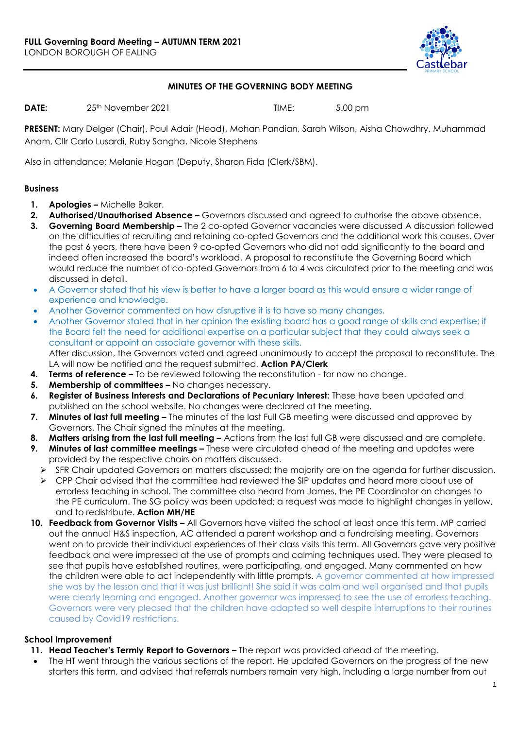

## **MINUTES OF THE GOVERNING BODY MEETING**

**DATE:** 25<sup>th</sup> November 2021 **TIME:** 5.00 pm

**PRESENT:** Mary Delger (Chair), Paul Adair (Head), Mohan Pandian, Sarah Wilson, Aisha Chowdhry, Muhammad Anam, Cllr Carlo Lusardi, Ruby Sangha, Nicole Stephens

Also in attendance: Melanie Hogan (Deputy, Sharon Fida (Clerk/SBM).

#### **Business**

- **1. Apologies –** Michelle Baker.
- **2. Authorised/Unauthorised Absence –** Governors discussed and agreed to authorise the above absence.
- **3. Governing Board Membership –** The 2 co-opted Governor vacancies were discussed A discussion followed on the difficulties of recruiting and retaining co-opted Governors and the additional work this causes. Over the past 6 years, there have been 9 co-opted Governors who did not add significantly to the board and indeed often increased the board's workload. A proposal to reconstitute the Governing Board which would reduce the number of co-opted Governors from 6 to 4 was circulated prior to the meeting and was discussed in detail.
- A Governor stated that his view is better to have a larger board as this would ensure a wider range of experience and knowledge.
- Another Governor commented on how disruptive it is to have so many changes.
- Another Governor stated that in her opinion the existing board has a good range of skills and expertise; if the Board felt the need for additional expertise on a particular subject that they could always seek a consultant or appoint an associate governor with these skills.

After discussion, the Governors voted and agreed unanimously to accept the proposal to reconstitute. The LA will now be notified and the request submitted. **Action PA/Clerk**

- **4. Terms of reference –** To be reviewed following the reconstitution for now no change.
- **5. Membership of committees –** No changes necessary.
- **6. Register of Business Interests and Declarations of Pecuniary Interest:** These have been updated and published on the school website. No changes were declared at the meeting.
- **7. Minutes of last full meeting –** The minutes of the last Full GB meeting were discussed and approved by Governors. The Chair signed the minutes at the meeting.
- **8. Matters arising from the last full meeting –** Actions from the last full GB were discussed and are complete.
- **9. Minutes of last committee meetings –** These were circulated ahead of the meeting and updates were provided by the respective chairs on matters discussed.
	- SFR Chair updated Governors on matters discussed; the majority are on the agenda for further discussion.
	- $\triangleright$  CPP Chair advised that the committee had reviewed the SIP updates and heard more about use of errorless teaching in school. The committee also heard from James, the PE Coordinator on changes to the PE curriculum. The SG policy was been updated; a request was made to highlight changes in yellow, and to redistribute. **Action MH/HE**
- **10. Feedback from Governor Visits –** All Governors have visited the school at least once this term. MP carried out the annual H&S inspection, AC attended a parent workshop and a fundraising meeting. Governors went on to provide their individual experiences of their class visits this term. All Governors gave very positive feedback and were impressed at the use of prompts and calming techniques used. They were pleased to see that pupils have established routines, were participating, and engaged. Many commented on how the children were able to act independently with little prompts. A governor commented at how impressed she was by the lesson and that it was just brilliant! She said it was calm and well organised and that pupils were clearly learning and engaged. Another governor was impressed to see the use of errorless teaching. Governors were very pleased that the children have adapted so well despite interruptions to their routines caused by Covid19 restrictions.

## **School Improvement**

- **11. Head Teacher's Termly Report to Governors –** The report was provided ahead of the meeting.
- The HT went through the various sections of the report. He updated Governors on the progress of the new starters this term, and advised that referrals numbers remain very high, including a large number from out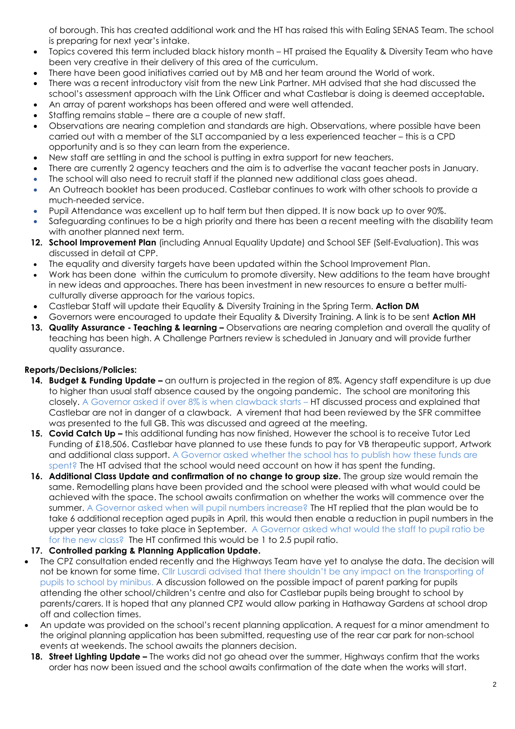of borough. This has created additional work and the HT has raised this with Ealing SENAS Team. The school is preparing for next year's intake.

- Topics covered this term included black history month HT praised the Equality & Diversity Team who have been very creative in their delivery of this area of the curriculum.
- There have been good initiatives carried out by MB and her team around the World of work.
- There was a recent introductory visit from the new Link Partner. MH advised that she had discussed the school's assessment approach with the Link Officer and what Castlebar is doing is deemed acceptable**.**
- An array of parent workshops has been offered and were well attended.
- Staffing remains stable there are a couple of new staff.
- Observations are nearing completion and standards are high. Observations, where possible have been carried out with a member of the SLT accompanied by a less experienced teacher – this is a CPD opportunity and is so they can learn from the experience.
- New staff are settling in and the school is putting in extra support for new teachers.
- There are currently 2 agency teachers and the aim is to advertise the vacant teacher posts in January.
- The school will also need to recruit staff if the planned new additional class goes ahead.
- An Outreach booklet has been produced. Castlebar continues to work with other schools to provide a much-needed service.
- Pupil Attendance was excellent up to half term but then dipped. It is now back up to over 90%.
- Safeguarding continues to be a high priority and there has been a recent meeting with the disability team with another planned next term.
- **12. School Improvement Plan** (including Annual Equality Update) and School SEF (Self-Evaluation). This was discussed in detail at CPP.
- The equality and diversity targets have been updated within the School Improvement Plan.
- Work has been done within the curriculum to promote diversity. New additions to the team have brought in new ideas and approaches. There has been investment in new resources to ensure a better multiculturally diverse approach for the various topics.
- Castlebar Staff will update their Equality & Diversity Training in the Spring Term. **Action DM**
- Governors were encouraged to update their Equality & Diversity Training. A link is to be sent **Action MH**
- **13. Quality Assurance - Teaching & learning –** Observations are nearing completion and overall the quality of teaching has been high. A Challenge Partners review is scheduled in January and will provide further quality assurance.

## **Reports/Decisions/Policies:**

- **14. Budget & Funding Update –** an outturn is projected in the region of 8%. Agency staff expenditure is up due to higher than usual staff absence caused by the ongoing pandemic. The school are monitoring this closely. A Governor asked if over 8% is when clawback starts – HT discussed process and explained that Castlebar are not in danger of a clawback. A virement that had been reviewed by the SFR committee was presented to the full GB. This was discussed and agreed at the meeting.
- **15. Covid Catch Up –** this additional funding has now finished, However the school is to receive Tutor Led Funding of £18,506. Castlebar have planned to use these funds to pay for VB therapeutic support, Artwork and additional class support. A Governor asked whether the school has to publish how these funds are spent? The HT advised that the school would need account on how it has spent the funding.
- **16. Additional Class Update and confirmation of no change to group size.** The group size would remain the same. Remodelling plans have been provided and the school were pleased with what would could be achieved with the space. The school awaits confirmation on whether the works will commence over the summer. A Governor asked when will pupil numbers increase? The HT replied that the plan would be to take 6 additional reception aged pupils in April, this would then enable a reduction in pupil numbers in the upper year classes to take place in September. A Governor asked what would the staff to pupil ratio be for the new class? The HT confirmed this would be 1 to 2.5 pupil ratio.
- **17. Controlled parking & Planning Application Update.**
- The CPZ consultation ended recently and the Highways Team have yet to analyse the data. The decision will not be known for some time. Cllr Lusardi advised that there shouldn't be any impact on the transporting of pupils to school by minibus. A discussion followed on the possible impact of parent parking for pupils attending the other school/children's centre and also for Castlebar pupils being brought to school by parents/carers. It is hoped that any planned CPZ would allow parking in Hathaway Gardens at school drop off and collection times.
- An update was provided on the school's recent planning application. A request for a minor amendment to the original planning application has been submitted, requesting use of the rear car park for non-school events at weekends. The school awaits the planners decision.
- **18. Street Lighting Update –** The works did not go ahead over the summer, Highways confirm that the works order has now been issued and the school awaits confirmation of the date when the works will start.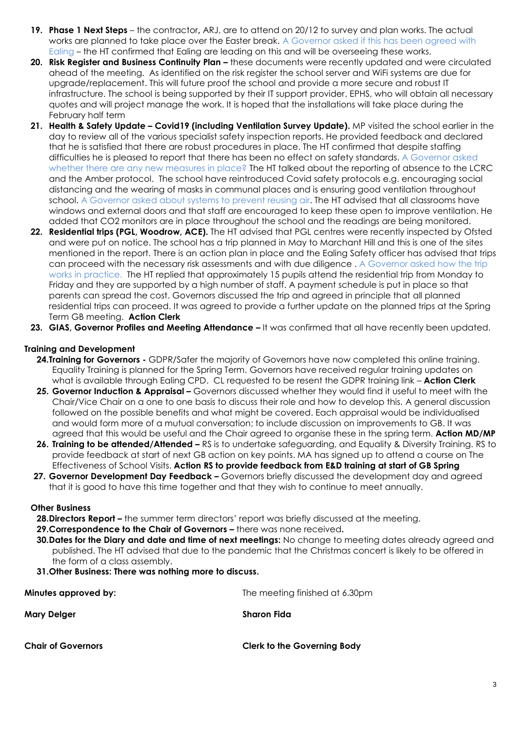- **19. Phase 1 Next Steps**  the contractor**,** ARJ, are to attend on 20/12 to survey and plan works. The actual works are planned to take place over the Easter break. A Governor asked if this has been agreed with Ealing – the HT confirmed that Ealing are leading on this and will be overseeing these works.
- **20. Risk Register and Business Continuity Plan –** these documents were recently updated and were circulated ahead of the meeting. As identified on the risk register the school server and WiFi systems are due for upgrade/replacement. This will future proof the school and provide a more secure and robust IT infrastructure. The school is being supported by their IT support provider, EPHS, who will obtain all necessary quotes and will project manage the work. It is hoped that the installations will take place during the February half term
- **21. Health & Safety Update – Covid19 (including Ventilation Survey Update).** MP visited the school earlier in the day to review all of the various specialist safety inspection reports. He provided feedback and declared that he is satisfied that there are robust procedures in place. The HT confirmed that despite staffing difficulties he is pleased to report that there has been no effect on safety standards. A Governor asked whether there are any new measures in place? The HT talked about the reporting of absence to the LCRC and the Amber protocol. The school have reintroduced Covid safety protocols e.g. encouraging social distancing and the wearing of masks in communal places and is ensuring good ventilation throughout school. A Governor asked about systems to prevent reusing air. The HT advised that all classrooms have windows and external doors and that staff are encouraged to keep these open to improve ventilation. He added that CO2 monitors are in place throughout the school and the readings are being monitored.
- 22. **Residential trips (PGL, Woodrow, ACE).** The HT advised that PGL centres were recently inspected by Ofsted and were put on notice. The school has a trip planned in May to Marchant Hill and this is one of the sites mentioned in the report. There is an action plan in place and the Ealing Safety officer has advised that trips can proceed with the necessary risk assessments and with due diligence . A Governor asked how the trip works in practice. The HT replied that approximately 15 pupils attend the residential trip from Monday to Friday and they are supported by a high number of staff. A payment schedule is put in place so that parents can spread the cost. Governors discussed the trip and agreed in principle that all planned residential trips can proceed. It was agreed to provide a further update on the planned trips at the Spring Term GB meeting. **Action Clerk**
- **23. GIAS, Governor Profiles and Meeting Attendance –** It was confirmed that all have recently been updated.

# **Training and Development**

- **24.Training for Governors -** GDPR/Safer the majority of Governors have now completed this online training. Equality Training is planned for the Spring Term. Governors have received regular training updates on what is available through Ealing CPD. CL requested to be resent the GDPR training link – **Action Clerk**
- **25. Governor Induction & Appraisal –** Governors discussed whether they would find it useful to meet with the Chair/Vice Chair on a one to one basis to discuss their role and how to develop this. A general discussion followed on the possible benefits and what might be covered. Each appraisal would be individualised and would form more of a mutual conversation; to include discussion on improvements to GB. It was agreed that this would be useful and the Chair agreed to organise these in the spring term. **Action MD/MP**
- **26. Training to be attended/Attended –** RS is to undertake safeguarding, and Equality & Diversity Training. RS to provide feedback at start of next GB action on key points. MA has signed up to attend a course on The Effectiveness of School Visits. **Action RS to provide feedback from E&D training at start of GB Spring**
- **27. Governor Development Day Feedback –** Governors briefly discussed the development day and agreed that it is good to have this time together and that they wish to continue to meet annually.

## **Other Business**

- **28.Directors Report –** the summer term directors' report was briefly discussed at the meeting.
- **29.Correspondence to the Chair of Governors –** there was none received**.**
- **30.Dates for the Diary and date and time of next meetings:** No change to meeting dates already agreed and published. The HT advised that due to the pandemic that the Christmas concert is likely to be offered in the form of a class assembly.
- **31.Other Business: There was nothing more to discuss.**

| Minutes approved by:      | The meeting finished at 6.30pm     |
|---------------------------|------------------------------------|
| Mary Delger               | Sharon Fida                        |
| <b>Chair of Governors</b> | <b>Clerk to the Governing Body</b> |